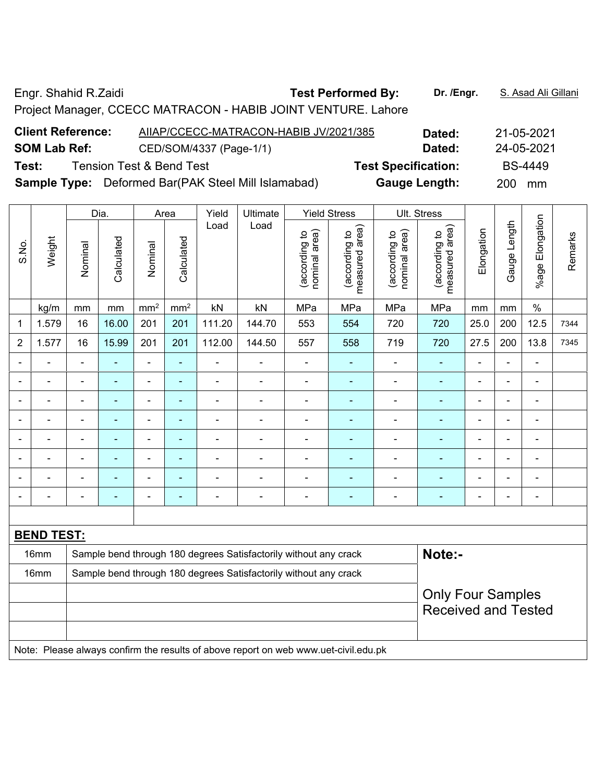Engr. Shahid R.Zaidi **Test Performed By: Dr. /Engr.** S. Asad Ali Gillani

Project Manager, CCECC MATRACON - HABIB JOINT VENTURE. Lahore

| <b>Client Reference:</b> | AIIAP/CCECC-MATRACON-HABIB JV/2021/385                     | Dated:                     | 21-05-2021     |
|--------------------------|------------------------------------------------------------|----------------------------|----------------|
| <b>SOM Lab Ref:</b>      | CED/SOM/4337 (Page-1/1)                                    | Dated:                     | 24-05-2021     |
| Test:                    | <b>Tension Test &amp; Bend Test</b>                        | <b>Test Specification:</b> | <b>BS-4449</b> |
|                          | <b>Sample Type:</b> Deformed Bar(PAK Steel Mill Islamabad) | <b>Gauge Length:</b>       | 200 mm         |

|                |                   |                                                                  | Dia.                     |                          | Area            | Yield                    | Ultimate                                                         |                                | <b>Yield Stress</b>             |                                | Ult. Stress                     |                          |                |                          |         |
|----------------|-------------------|------------------------------------------------------------------|--------------------------|--------------------------|-----------------|--------------------------|------------------------------------------------------------------|--------------------------------|---------------------------------|--------------------------------|---------------------------------|--------------------------|----------------|--------------------------|---------|
| S.No.          | Weight            | Nominal                                                          | Calculated               | Nominal                  | Calculated      | Load                     | Load                                                             | nominal area)<br>(according to | measured area)<br>(according to | nominal area)<br>(according to | measured area)<br>(according to | Elongation               | Gauge Length   | Elongation<br>%age I     | Remarks |
|                | kg/m              | mm                                                               | mm                       | mm <sup>2</sup>          | mm <sup>2</sup> | kN                       | kN                                                               | MPa                            | MPa                             | MPa                            | MPa                             | mm                       | mm             | $\%$                     |         |
| 1              | 1.579             | 16                                                               | 16.00                    | 201                      | 201             | 111.20                   | 144.70                                                           | 553                            | 554                             | 720                            | 720                             | 25.0                     | 200            | 12.5                     | 7344    |
| $\overline{2}$ | 1.577             | 16                                                               | 15.99                    | 201                      | 201             | 112.00                   | 144.50                                                           | 557                            | 558                             | 719                            | 720                             | 27.5                     | 200            | 13.8                     | 7345    |
|                |                   | $\blacksquare$                                                   | $\blacksquare$           | $\blacksquare$           | ä,              | $\blacksquare$           | $\blacksquare$                                                   | $\blacksquare$                 | $\blacksquare$                  |                                | $\blacksquare$                  |                          | ä,             | $\blacksquare$           |         |
|                |                   | $\blacksquare$                                                   | $\overline{\phantom{0}}$ | $\blacksquare$           | $\blacksquare$  | $\overline{\phantom{0}}$ | $\blacksquare$                                                   | $\overline{a}$                 | Ē.                              | $\blacksquare$                 | $\blacksquare$                  | $\overline{\phantom{0}}$ | $\blacksquare$ | $\blacksquare$           |         |
|                |                   | $\blacksquare$                                                   | $\blacksquare$           | $\blacksquare$           | $\blacksquare$  | ٠                        | $\overline{a}$                                                   | $\blacksquare$                 | ٠                               | $\blacksquare$                 | $\blacksquare$                  | ۰                        | $\blacksquare$ | $\blacksquare$           |         |
|                |                   | $\blacksquare$                                                   |                          | $\blacksquare$           | ۰               | ۰                        |                                                                  | ۳                              |                                 |                                |                                 |                          | ÷              | $\blacksquare$           |         |
|                |                   | $\blacksquare$                                                   | ٠                        | $\blacksquare$           | $\blacksquare$  |                          | $\overline{\phantom{0}}$                                         | $\blacksquare$                 |                                 |                                | $\blacksquare$                  | ۰                        | $\blacksquare$ | $\overline{\phantom{0}}$ |         |
|                |                   | $\blacksquare$                                                   |                          | $\overline{\phantom{0}}$ | ۳               |                          |                                                                  | $\blacksquare$                 | ۰                               | $\overline{a}$                 | $\overline{\phantom{0}}$        |                          | L.             | $\blacksquare$           |         |
| $\blacksquare$ | $\blacksquare$    | $\blacksquare$                                                   | $\blacksquare$           | $\blacksquare$           | $\blacksquare$  | Ē,                       | $\blacksquare$                                                   | $\blacksquare$                 | ۰                               |                                | $\blacksquare$                  | ۰                        | $\blacksquare$ | $\blacksquare$           |         |
|                |                   | $\blacksquare$                                                   | $\blacksquare$           | $\blacksquare$           | ۳               | ÷                        | $\blacksquare$                                                   | -                              | ۰                               |                                | $\blacksquare$                  | ۰                        | ÷              | $\overline{\phantom{a}}$ |         |
|                |                   |                                                                  |                          |                          |                 |                          |                                                                  |                                |                                 |                                |                                 |                          |                |                          |         |
|                | <b>BEND TEST:</b> |                                                                  |                          |                          |                 |                          |                                                                  |                                |                                 |                                |                                 |                          |                |                          |         |
|                | 16mm              |                                                                  |                          |                          |                 |                          | Sample bend through 180 degrees Satisfactorily without any crack |                                |                                 |                                | Note:-                          |                          |                |                          |         |
|                | 16mm              | Sample bend through 180 degrees Satisfactorily without any crack |                          |                          |                 |                          |                                                                  |                                |                                 |                                |                                 |                          |                |                          |         |
|                |                   |                                                                  |                          |                          |                 |                          |                                                                  |                                |                                 |                                | <b>Only Four Samples</b>        |                          |                |                          |         |
|                |                   |                                                                  |                          |                          |                 |                          |                                                                  |                                |                                 |                                | <b>Received and Tested</b>      |                          |                |                          |         |

Note: Please always confirm the results of above report on web www.uet-civil.edu.pk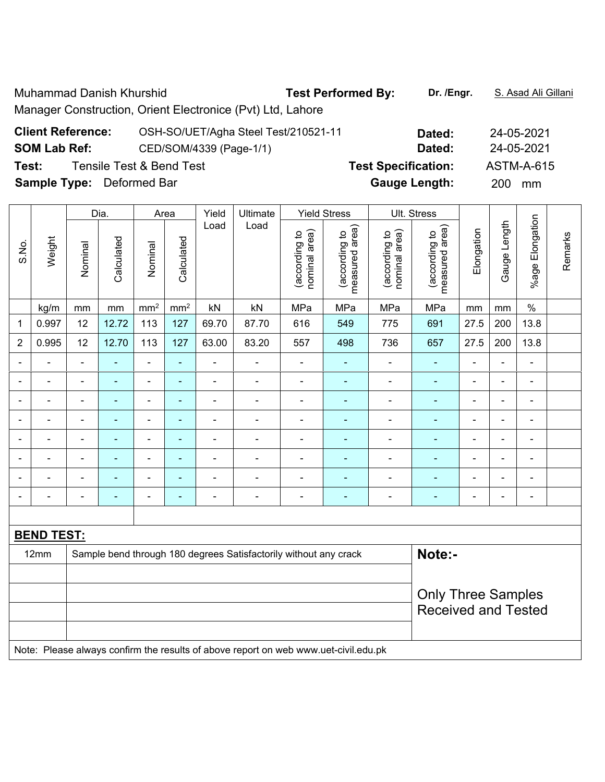Muhammad Danish Khurshid **Test Performed By:** Dr. /Engr. **S. Asad Ali Gillani** Manager Construction, Orient Electronice (Pvt) Ltd, Lahore

| <b>Client Reference:</b>         | OSH-SO/UET/Agha Steel Test/210521-11 | Dated:                     | 24-05-2021       |
|----------------------------------|--------------------------------------|----------------------------|------------------|
| <b>SOM Lab Ref:</b>              | CED/SOM/4339 (Page-1/1)              | Dated:                     | 24-05-2021       |
| Test:                            | Tensile Test & Bend Test             | <b>Test Specification:</b> | ASTM-A-615       |
| <b>Sample Type:</b> Deformed Bar |                                      | <b>Gauge Length:</b>       | <b>200</b><br>mm |

|                          |                                                                                     |                           | Dia.       |                              | Area            | Yield                    | Ultimate<br><b>Yield Stress</b>                                  |                                | Ult. Stress                     |                                |                                 |                |                |                          |         |
|--------------------------|-------------------------------------------------------------------------------------|---------------------------|------------|------------------------------|-----------------|--------------------------|------------------------------------------------------------------|--------------------------------|---------------------------------|--------------------------------|---------------------------------|----------------|----------------|--------------------------|---------|
| S.No.                    | Weight                                                                              | Nominal                   | Calculated | Nominal                      | Calculated      | Load                     | Load                                                             | nominal area)<br>(according to | measured area)<br>(according to | (according to<br>nominal area) | measured area)<br>(according to | Elongation     | Gauge Length   | %age Elongation          | Remarks |
|                          | kg/m                                                                                | mm                        | mm         | mm <sup>2</sup>              | mm <sup>2</sup> | kN                       | kN                                                               | MPa                            | MPa                             | MPa                            | MPa                             | mm             | mm             | $\%$                     |         |
| 1                        | 0.997                                                                               | 12                        | 12.72      | 113                          | 127             | 69.70                    | 87.70                                                            | 616                            | 549                             | 775                            | 691                             | 27.5           | 200            | 13.8                     |         |
| $\overline{2}$           | 0.995                                                                               | 12                        | 12.70      | 113                          | 127             | 63.00                    | 83.20                                                            | 557                            | 498                             | 736                            | 657                             | 27.5           | 200            | 13.8                     |         |
|                          |                                                                                     | $\overline{a}$            |            | $\overline{a}$               | L.              |                          |                                                                  | $\blacksquare$                 |                                 | $\overline{\phantom{a}}$       | $\blacksquare$                  |                | $\overline{a}$ | $\blacksquare$           |         |
|                          |                                                                                     |                           |            | $\blacksquare$               | ä,              |                          | ä,                                                               | Ē,                             |                                 | ÷                              | Ē,                              | ä,             | ä,             | $\overline{\phantom{a}}$ |         |
| $\blacksquare$           |                                                                                     | Ē,                        | ä,         | $\qquad \qquad \blacksquare$ | $\blacksquare$  | $\overline{a}$           | $\blacksquare$                                                   | $\blacksquare$                 | $\blacksquare$                  | ÷                              | ÷,                              | ÷              | $\blacksquare$ | $\overline{\phantom{a}}$ |         |
|                          |                                                                                     | $\blacksquare$            | ÷,         | $\blacksquare$               | $\blacksquare$  | $\blacksquare$           | $\blacksquare$                                                   | $\overline{\phantom{a}}$       | $\blacksquare$                  | ÷                              | $\blacksquare$                  | $\blacksquare$ | $\blacksquare$ | $\blacksquare$           |         |
| $\overline{\phantom{0}}$ |                                                                                     | Ē,                        | ÷,         | $\blacksquare$               | $\blacksquare$  | ÷                        | $\blacksquare$                                                   | $\blacksquare$                 | $\blacksquare$                  | Ē,                             | $\blacksquare$                  | $\blacksquare$ | $\blacksquare$ | $\blacksquare$           |         |
|                          |                                                                                     | $\blacksquare$            | ÷,         | $\blacksquare$               | $\blacksquare$  | $\blacksquare$           | $\blacksquare$                                                   | $\blacksquare$                 |                                 | Ē,                             | ٠                               | ä,             | $\blacksquare$ | $\blacksquare$           |         |
|                          |                                                                                     |                           |            | $\blacksquare$               | $\blacksquare$  |                          | $\blacksquare$                                                   | $\blacksquare$                 |                                 | ÷                              | ÷.                              |                |                | $\blacksquare$           |         |
|                          |                                                                                     | Ē,                        |            |                              |                 | $\overline{\phantom{0}}$ | Ē,                                                               | ÷                              |                                 | ÷                              | ÷,                              | ä,             | $\blacksquare$ | $\overline{a}$           |         |
|                          |                                                                                     |                           |            |                              |                 |                          |                                                                  |                                |                                 |                                |                                 |                |                |                          |         |
|                          | <b>BEND TEST:</b>                                                                   |                           |            |                              |                 |                          |                                                                  |                                |                                 |                                |                                 |                |                |                          |         |
|                          | 12mm                                                                                |                           |            |                              |                 |                          | Sample bend through 180 degrees Satisfactorily without any crack |                                |                                 |                                | Note:-                          |                |                |                          |         |
|                          |                                                                                     |                           |            |                              |                 |                          |                                                                  |                                |                                 |                                |                                 |                |                |                          |         |
|                          |                                                                                     | <b>Only Three Samples</b> |            |                              |                 |                          |                                                                  |                                |                                 |                                |                                 |                |                |                          |         |
|                          |                                                                                     |                           |            |                              |                 |                          |                                                                  |                                | <b>Received and Tested</b>      |                                |                                 |                |                |                          |         |
|                          |                                                                                     |                           |            |                              |                 |                          |                                                                  |                                |                                 |                                |                                 |                |                |                          |         |
|                          | Note: Please always confirm the results of above report on web www.uet-civil.edu.pk |                           |            |                              |                 |                          |                                                                  |                                |                                 |                                |                                 |                |                |                          |         |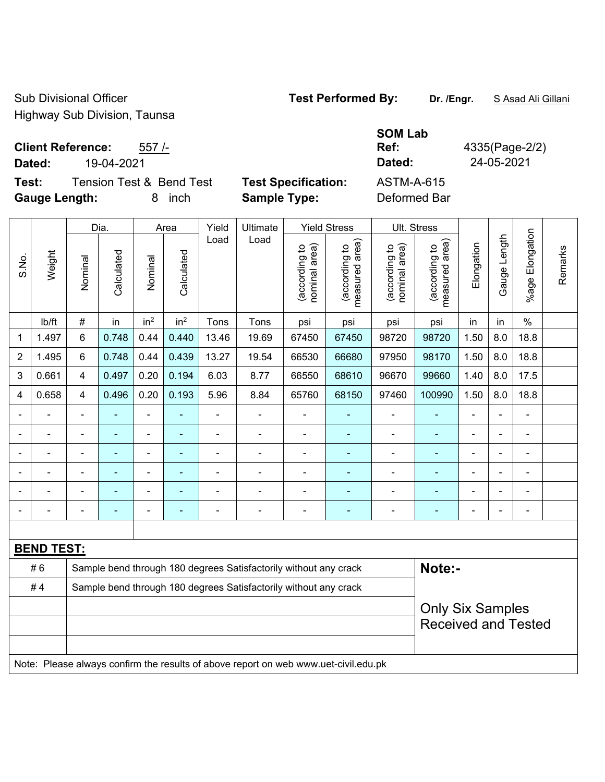Sub Divisional Officer **Test Performed By:** Dr. /Engr. **SAsad Ali Gillani** Sub Divisional Officer Highway Sub Division, Taunsa

**Client Reference:** 557 /-

**Dated:** 19-04-2021 **Dated:** 24-05-2021

**Test:** Tension Test & Bend Test **Test Specification:** ASTM-A-615 **Gauge Length:** 8 inch **Sample Type:** Deformed Bar

|                         |                   | Dia.                    |            | Area            |                 | Yield | Ultimate                                                                            | <b>Yield Stress</b>            |                                             | Ult. Stress                    |                                             |                |              |                              |         |
|-------------------------|-------------------|-------------------------|------------|-----------------|-----------------|-------|-------------------------------------------------------------------------------------|--------------------------------|---------------------------------------------|--------------------------------|---------------------------------------------|----------------|--------------|------------------------------|---------|
| S.No.                   | Weight            | Nominal                 | Calculated | Nominal         | Calculated      | Load  | Load                                                                                | (according to<br>nominal area) | (according to<br>measured area)<br>measured | nominal area)<br>(according to | (according to<br>measured area)<br>measured | Elongation     | Gauge Length | Elongation<br>$%$ age        | Remarks |
|                         | lb/ft             | $\#$                    | in         | in <sup>2</sup> | in <sup>2</sup> | Tons  | Tons                                                                                | psi                            | psi                                         | psi                            | psi                                         | in             | in           | $\%$                         |         |
| $\mathbf{1}$            | 1.497             | 6                       | 0.748      | 0.44            | 0.440           | 13.46 | 19.69                                                                               | 67450                          | 67450                                       | 98720                          | 98720                                       | 1.50           | 8.0          | 18.8                         |         |
| 2                       | 1.495             | 6                       | 0.748      | 0.44            | 0.439           | 13.27 | 19.54                                                                               | 66530                          | 66680                                       | 97950                          | 98170                                       | 1.50           | 8.0          | 18.8                         |         |
| $\sqrt{3}$              | 0.661             | $\overline{\mathbf{4}}$ | 0.497      | 0.20            | 0.194           | 6.03  | 8.77                                                                                | 66550                          | 68610                                       | 96670                          | 99660                                       | 1.40           | 8.0          | 17.5                         |         |
| $\overline{\mathbf{4}}$ | 0.658             | $\overline{4}$          | 0.496      | 0.20            | 0.193           | 5.96  | 8.84                                                                                | 65760                          | 68150                                       | 97460                          | 100990                                      | 1.50           | 8.0          | 18.8                         |         |
|                         |                   |                         |            |                 |                 |       |                                                                                     |                                |                                             |                                |                                             |                |              | ÷,                           |         |
|                         |                   |                         |            | $\blacksquare$  | ٠               |       | ÷,                                                                                  | $\overline{\phantom{a}}$       |                                             | $\overline{a}$                 | $\overline{\phantom{0}}$                    | $\blacksquare$ |              | $\qquad \qquad \blacksquare$ |         |
|                         |                   | $\blacksquare$          | ÷,         | $\blacksquare$  | ÷               |       | $\blacksquare$                                                                      | ä,                             | $\blacksquare$                              | $\overline{a}$                 | ÷,                                          | $\blacksquare$ |              | $\frac{1}{2}$                |         |
|                         |                   |                         |            | $\blacksquare$  |                 |       |                                                                                     |                                |                                             |                                |                                             |                |              | ÷,                           |         |
|                         |                   |                         |            |                 |                 |       |                                                                                     |                                |                                             |                                |                                             |                |              | ۰                            |         |
|                         |                   |                         |            | $\blacksquare$  | ٠               |       | $\blacksquare$                                                                      | $\overline{\phantom{a}}$       | $\blacksquare$                              | $\blacksquare$                 | ÷                                           | $\blacksquare$ |              | $\overline{a}$               |         |
|                         |                   |                         |            |                 |                 |       |                                                                                     |                                |                                             |                                |                                             |                |              |                              |         |
|                         | <b>BEND TEST:</b> |                         |            |                 |                 |       |                                                                                     |                                |                                             |                                |                                             |                |              |                              |         |
|                         | #6                |                         |            |                 |                 |       | Sample bend through 180 degrees Satisfactorily without any crack                    |                                |                                             |                                | Note:-                                      |                |              |                              |         |
|                         | #4                |                         |            |                 |                 |       | Sample bend through 180 degrees Satisfactorily without any crack                    |                                |                                             |                                |                                             |                |              |                              |         |
|                         |                   |                         |            |                 |                 |       |                                                                                     |                                |                                             |                                | <b>Only Six Samples</b>                     |                |              |                              |         |
|                         |                   |                         |            |                 |                 |       |                                                                                     |                                |                                             |                                | <b>Received and Tested</b>                  |                |              |                              |         |
|                         |                   |                         |            |                 |                 |       |                                                                                     |                                |                                             |                                |                                             |                |              |                              |         |
|                         |                   |                         |            |                 |                 |       | Note: Please always confirm the results of above report on web www.uet-civil.edu.pk |                                |                                             |                                |                                             |                |              |                              |         |

## **SOM Lab Ref:** 4335(Page-2/2)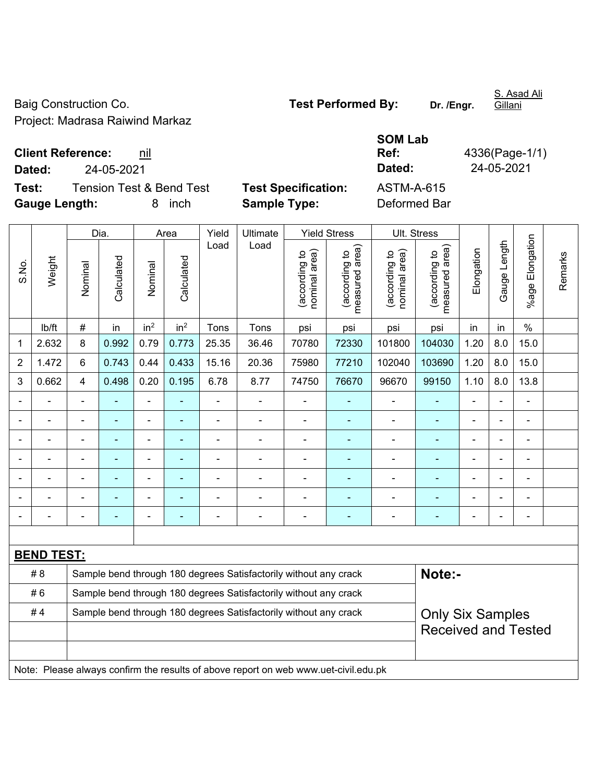Baig Construction Co. **Test Performed By:** Dr. /Engr.

Project: Madrasa Raiwind Markaz

**Test:** Tension Test & Bend Test **Test Specification:** ASTM-A-615 **Gauge Length:** 8 inch **Sample Type:** Deformed Bar

**Client Reference:** nil **SOM Lab Dated:** 24-05-2021 **Dated:** 24-05-2021

**Ref:** 4336(Page-1/1)

|                |                                                                                     | Dia.                                                             |            | Area            |                 | Yield          | Ultimate                                                         | <b>Yield Stress</b>            |                                 | Ult. Stress                    |                                 |                |              |                           |         |
|----------------|-------------------------------------------------------------------------------------|------------------------------------------------------------------|------------|-----------------|-----------------|----------------|------------------------------------------------------------------|--------------------------------|---------------------------------|--------------------------------|---------------------------------|----------------|--------------|---------------------------|---------|
| S.No.          | Weight                                                                              | Nominal                                                          | Calculated | Nominal         | Calculated      | Load           | Load                                                             | nominal area)<br>(according to | (according to<br>measured area) | nominal area)<br>(according to | (according to<br>measured area) | Elongation     | Gauge Length | Elongation<br>$%$ age $ $ | Remarks |
|                | lb/ft                                                                               | $\#$                                                             | in         | in <sup>2</sup> | in <sup>2</sup> | Tons           | Tons                                                             | psi                            | psi                             | psi                            | psi                             | in             | in           | $\%$                      |         |
| 1              | 2.632                                                                               | 8                                                                | 0.992      | 0.79            | 0.773           | 25.35          | 36.46                                                            | 70780                          | 72330                           | 101800                         | 104030                          | 1.20           | 8.0          | 15.0                      |         |
| $\overline{2}$ | 1.472                                                                               | 6                                                                | 0.743      | 0.44            | 0.433           | 15.16          | 20.36                                                            | 75980                          | 77210                           | 102040                         | 103690                          | 1.20           | 8.0          | 15.0                      |         |
| 3              | 0.662                                                                               | $\overline{4}$                                                   | 0.498      | 0.20            | 0.195           | 6.78           | 8.77                                                             | 74750                          | 76670                           | 96670                          | 99150                           | 1.10           | 8.0          | 13.8                      |         |
|                |                                                                                     | $\blacksquare$                                                   |            | $\blacksquare$  |                 | $\blacksquare$ | ä,                                                               | $\blacksquare$                 |                                 |                                |                                 |                |              |                           |         |
|                |                                                                                     | $\blacksquare$                                                   |            | $\blacksquare$  | ٠               |                | $\blacksquare$                                                   | $\blacksquare$                 | ÷                               | ÷,                             | ÷                               |                |              | $\blacksquare$            |         |
|                |                                                                                     | $\blacksquare$                                                   |            | $\blacksquare$  | $\blacksquare$  | Ē,             | ä,                                                               | $\blacksquare$                 | $\blacksquare$                  | $\blacksquare$                 | ÷                               | L,             |              | $\blacksquare$            |         |
|                |                                                                                     |                                                                  |            | ä,              | ۰               |                | $\blacksquare$                                                   | $\blacksquare$                 | ٠                               | $\blacksquare$                 | ÷                               | $\blacksquare$ |              |                           |         |
|                |                                                                                     |                                                                  |            |                 |                 |                | -                                                                |                                |                                 |                                |                                 |                |              |                           |         |
|                |                                                                                     |                                                                  |            |                 |                 |                | -                                                                | Ē,                             | ۳                               |                                |                                 |                |              |                           |         |
|                |                                                                                     |                                                                  |            | ۰               | ۰               |                | $\blacksquare$                                                   | $\blacksquare$                 | ۰                               | $\overline{\phantom{0}}$       | $\blacksquare$                  |                |              | $\blacksquare$            |         |
|                |                                                                                     |                                                                  |            |                 |                 |                |                                                                  |                                |                                 |                                |                                 |                |              |                           |         |
|                | <b>BEND TEST:</b>                                                                   |                                                                  |            |                 |                 |                |                                                                  |                                |                                 |                                |                                 |                |              |                           |         |
|                | # 8                                                                                 |                                                                  |            |                 |                 |                | Sample bend through 180 degrees Satisfactorily without any crack |                                |                                 |                                | Note:-                          |                |              |                           |         |
|                | #6                                                                                  |                                                                  |            |                 |                 |                | Sample bend through 180 degrees Satisfactorily without any crack |                                |                                 |                                |                                 |                |              |                           |         |
|                | #4                                                                                  | Sample bend through 180 degrees Satisfactorily without any crack |            |                 |                 |                |                                                                  |                                |                                 | <b>Only Six Samples</b>        |                                 |                |              |                           |         |
|                |                                                                                     |                                                                  |            |                 |                 |                |                                                                  |                                |                                 | <b>Received and Tested</b>     |                                 |                |              |                           |         |
|                |                                                                                     |                                                                  |            |                 |                 |                |                                                                  |                                |                                 |                                |                                 |                |              |                           |         |
|                | Note: Please always confirm the results of above report on web www.uet-civil.edu.pk |                                                                  |            |                 |                 |                |                                                                  |                                |                                 |                                |                                 |                |              |                           |         |

S. Asad Ali

Gillani